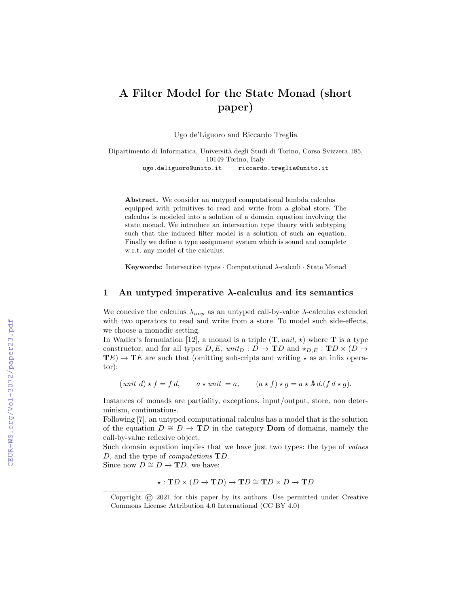# A Filter Model for the State Monad (short paper)

Ugo de'Liguoro and Riccardo Treglia

Dipartimento di Informatica, Universit`a degli Studi di Torino, Corso Svizzera 185, 10149 Torino, Italy ugo.deliguoro@unito.it riccardo.treglia@unito.it

Abstract. We consider an untyped computational lambda calculus equipped with primitives to read and write from a global store. The calculus is modeled into a solution of a domain equation involving the state monad. We introduce an intersection type theory with subtyping such that the induced filter model is a solution of such an equation. Finally we define a type assignment system which is sound and complete w.r.t. any model of the calculus.

**Keywords:** Intersection types  $\cdot$  Computational  $\lambda$ -calculi  $\cdot$  State Monad

### 1 An untyped imperative  $\lambda$ -calculus and its semantics

We conceive the calculus  $\lambda_{imp}$  as an untyped call-by-value  $\lambda$ -calculus extended with two operators to read and write from a store. To model such side-effects, we choose a monadic setting.

In Wadler's formulation [12], a monad is a triple  $(T, unit, \star)$  where T is a type constructor, and for all types  $D, E$ ,  $unit_D : D \to \mathbf{T}D$  and  $\star_{D,E} : \mathbf{T}D \times (D \to$  $\mathbf{TE}$ )  $\rightarrow \mathbf{TE}$  are such that (omitting subscripts and writing  $\star$  as an infix operator):

 $(unit\ d) \star f = f d, \qquad a \star unit = a, \qquad (a \star f) \star g = a \star \lambda d. (f d \star g).$ 

Instances of monads are partiality, exceptions, input/output, store, non determinism, continuations.

Following [7], an untyped computational calculus has a model that is the solution of the equation  $D \cong D \to \mathbf{T}D$  in the category **Dom** of domains, namely the call-by-value reflexive object.

Such domain equation implies that we have just two types: the type of values D, and the type of *computations*  $\mathbf{T}D$ .

Since now  $D \cong D \to \mathbf{T}D$ , we have:

$$
\star: \mathbf{T} D \times (D \to \mathbf{T} D) \to \mathbf{T} D \cong \mathbf{T} D \times D \to \mathbf{T} D
$$

Copyright © 2021 for this paper by its authors. Use permitted under Creative Commons License Attribution 4.0 International (CC BY 4.0)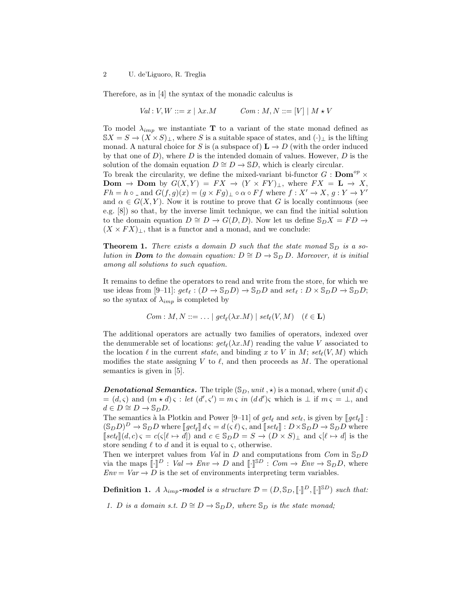#### 2 U. de'Liguoro, R. Treglia

Therefore, as in [4] the syntax of the monadic calculus is

$$
Val: V, W ::= x \mid \lambda x.M \qquad Com: M, N ::= [V] \mid M * V
$$

To model  $\lambda_{imp}$  we instantiate **T** to a variant of the state monad defined as  $\mathbb{S}X = S \to (X \times S)_{\perp}$ , where S is a suitable space of states, and  $(\cdot)_{\perp}$  is the lifting monad. A natural choice for S is (a subspace of)  $\mathbf{L} \to D$  (with the order induced by that one of  $D$ ), where  $D$  is the intended domain of values. However,  $D$  is the solution of the domain equation  $D \cong D \to \mathbb{S}D$ , which is clearly circular.

To break the circularity, we define the mixed-variant bi-functor  $G : \textbf{Dom}^{op} \times$ **Dom** → **Dom** by  $G(X,Y) = FX \rightarrow (Y \times FY)_\perp$ , where  $FX = L \rightarrow X$ ,  $Fh = h \circ \_$  and  $G(f, g)(x) = (g \times Fg) \bot \circ \alpha \circ Ff$  where  $f : X' \to X, g : Y \to Y'$ and  $\alpha \in G(X, Y)$ . Now it is routine to prove that G is locally continuous (see e.g. [8]) so that, by the inverse limit technique, we can find the initial solution to the domain equation  $D \cong D \to G(D, D)$ . Now let us define  $\mathbb{S}_D X = FD \to$  $(X \times FX)$ , that is a functor and a monad, and we conclude:

**Theorem 1.** There exists a domain D such that the state monad  $\mathcal{S}_D$  is a solution in **Dom** to the domain equation:  $D \cong D \to \mathbb{S}_D D$ . Moreover, it is initial among all solutions to such equation.

It remains to define the operators to read and write from the store, for which we use ideas from [9–11]:  $get_{\ell} : (D \to \mathbb{S}_D D) \to \mathbb{S}_D D$  and  $set_{\ell} : D \times \mathbb{S}_D D \to \mathbb{S}_D D$ ; so the syntax of  $\lambda_{imp}$  is completed by

$$
Com : M, N ::= \dots | get_{\ell}(\lambda x.M) | set_{\ell}(V, M) \quad (\ell \in \mathbf{L})
$$

The additional operators are actually two families of operators, indexed over the denumerable set of locations:  $get_{\ell}(\lambda x.M)$  reading the value V associated to the location  $\ell$  in the current state, and binding x to V in M; set $_{\ell}(V, M)$  which modifies the state assigning V to  $\ell$ , and then proceeds as M. The operational semantics is given in [5].

**Denotational Semantics.** The triple  $(\mathbb{S}_D, \text{unit}, \star)$  is a monad, where  $(\text{unit } d)$  $=(d,\varsigma)$  and  $(m \star d) \varsigma : let (d',\varsigma') = m \varsigma \text{ in } (dd')\varsigma \text{ which is } \perp \text{ if } m \varsigma = \perp \text{, and}$  $d \in D \cong D \to \mathbb{S}_D D.$ 

The semantics à la Plotkin and Power  $[9-11]$  of  $get_\ell$  and  $set_\ell$ , is given by  $[get_\ell]$ :<br> $(S, D)^D \to S, D$  where  $[get] \cdot d \subset d \subset \ell$ , and  $[set] \cdot D \times S, D \to S, D$  where  $(\mathbb{S}_D D)^D \to \mathbb{S}_D D$  where  $[\text{get}_{\ell}] \, d \varsigma = d(\varsigma \ell) \, \varsigma$ , and  $[\text{set}_{\ell}] : D \times \mathbb{S}_D D \to \mathbb{S}_D D$  where  $\lceil\det[k](d, c)\,\varsigma = c(\varsigma[\ell \mapsto d])$  and  $c \in \mathbb{S}_D D = S \to (D \times S)_\perp$  and  $\varsigma[\ell \mapsto d]$  is the store sending  $\ell$  to d and it is equal to  $\varsigma$ , otherwise.

Then we interpret values from Val in D and computations from  $Com$  in  $\mathcal{S}_D$ via the maps  $\llbracket \cdot \rrbracket^D : Val \to Env \to D$  and  $\llbracket \cdot \rrbracket^{\otimes D} : Com \to Env \to \mathbb{S}_D D$ , where  $Env = Var \rightarrow \overline{D}$  is the set of environments interpreting term variables.

**Definition 1.** A  $\lambda_{imp}$ -model is a structure  $\mathcal{D} = (D, \mathbb{S}_D, [\![\cdot]\!]^D, [\![\cdot]\!]^{\mathbb{S}D})$  such that:

1. D is a domain s.t.  $D \cong D \to \mathbb{S}_D D$ , where  $\mathbb{S}_D$  is the state monad;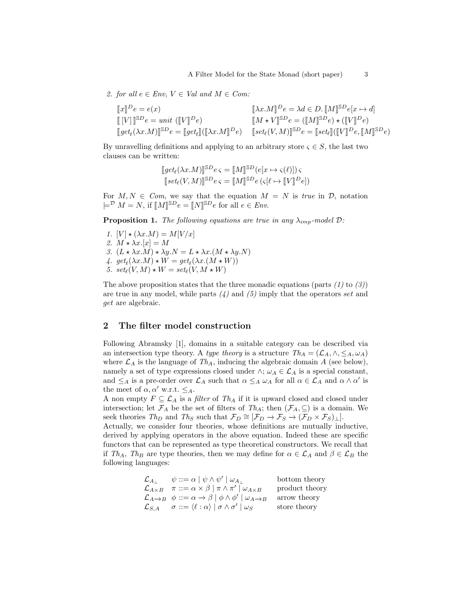2. for all  $e \in Env, V \in Val$  and  $M \in Com:$ 

$$
\begin{aligned} \llbracket x \rrbracket ^{D} e = e(x) & \llbracket \lambda x . M \rrbracket ^{D} e = \lambda d \in D. \llbracket M \rrbracket ^{\mathbb{S}D} e[x \mapsto d] \\ \llbracket [V] \rrbracket ^{\mathbb{S}D} e = unit \ (\llbracket V \rrbracket ^{D} e) & \llbracket M \star V \rrbracket ^{\mathbb{S}D} e = (\llbracket M \rrbracket ^{\mathbb{S}D} e) \star (\llbracket V \rrbracket ^{D} e) \\ \llbracket get_{\ell}(\lambda x . M) \rrbracket ^{\mathbb{S}D} e = \llbracket get_{\ell} \rrbracket ((\llbracket \lambda x . M \rrbracket ^{D} e) & \llbracket set_{\ell} (V, M) \rrbracket ^{\mathbb{S}D} e = \llbracket set_{\ell} \rrbracket ((\llbracket V \rrbracket ^{D} e, \llbracket M \rrbracket ^{\mathbb{S}D} e) \end{aligned}
$$

By unravelling definitions and applying to an arbitrary store  $\varsigma \in S$ , the last two clauses can be written:

$$
[get_{\ell}(\lambda x.M)]^{\text{SD}} e \varsigma = [M]^{\text{SD}}(e[x \mapsto \varsigma(\ell)]) \varsigma
$$
  

$$
[set_{\ell}(V,M)]^{\text{SD}} e \varsigma = [M]^{\text{SD}} e (\varsigma[\ell \mapsto [V]^D e])
$$

For  $M, N \in \mathcal{C}om$ , we say that the equation  $M = N$  is true in  $\mathcal{D}$ , notation  $\models^{\mathcal{D}} M = N$ , if  $[M]^{\mathbb{S}D}e = [N]^{\mathbb{S}D}e$  for all  $e \in Env$ .

**Proposition 1.** The following equations are true in any  $\lambda_{imp}$ -model  $\mathcal{D}$ :

1.  $[V] \star (\lambda x.M) = M[V/x]$ 2.  $M \star \lambda x.[x] = M$ 3.  $(L \star \lambda x.M) \star \lambda y.N = L \star \lambda x.(M \star \lambda y.N)$ 4.  $get_{\ell}(\lambda x.M) \star W = get_{\ell}(\lambda x.(M \star W))$ 5.  $set_{\ell}(V, M) \star W = set_{\ell}(V, M \star W)$ 

The above proposition states that the three monadic equations (parts  $(1)$  to  $(3)$ ) are true in any model, while parts  $\lambda$  and  $\lambda$  imply that the operators set and get are algebraic.

## 2 The filter model construction

Following Abramsky [1], domains in a suitable category can be described via an intersection type theory. A type theory is a structure  $Th_A = (\mathcal{L}_A, \wedge, \leq_A, \omega_A)$ where  $\mathcal{L}_A$  is the language of  $Th_A$ , inducing the algebraic domain A (see below), namely a set of type expressions closed under  $\wedge$ ;  $\omega_A \in \mathcal{L}_A$  is a special constant, and  $\leq_A$  is a pre-order over  $\mathcal{L}_A$  such that  $\alpha \leq_A \omega_A$  for all  $\alpha \in \mathcal{L}_A$  and  $\alpha \wedge \alpha'$  is the meet of  $\alpha, \alpha'$  w.r.t.  $\leq_A$ .

A non empty  $F \subseteq \mathcal{L}_A$  is a *filter* of  $Th_A$  if it is upward closed and closed under intersection; let  $\mathcal{F}_A$  be the set of filters of  $Th_A$ ; then  $(\mathcal{F}_A, \subseteq)$  is a domain. We seek theories  $Th_D$  and  $Th_S$  such that  $\mathcal{F}_D \cong [\mathcal{F}_D \to \mathcal{F}_S \to (\mathcal{F}_D \times \mathcal{F}_S)_\perp].$ 

Actually, we consider four theories, whose definitions are mutually inductive, derived by applying operators in the above equation. Indeed these are specific functors that can be represented as type theoretical constructors. We recall that if  $Th_A$ ,  $Th_B$  are type theories, then we may define for  $\alpha \in \mathcal{L}_A$  and  $\beta \in \mathcal{L}_B$  the following languages:

| $\mathcal{L}_{A_{\perp}}$ | $\psi ::= \alpha \mid \psi \wedge \psi' \mid \omega_{A}$                                                               | bottom theory  |
|---------------------------|------------------------------------------------------------------------------------------------------------------------|----------------|
| $\mathcal{L}_{A\times B}$ | $\pi ::= \alpha \times \beta   \pi \wedge \pi'   \omega_{A \times B}$                                                  | product theory |
|                           | $\mathcal{L}_{A\rightarrow B}$ $\phi ::= \alpha \rightarrow \beta \mid \phi \wedge \phi' \mid \omega_{A\rightarrow B}$ | arrow theory   |
| $\mathcal{L}_{S,A}$       | $\sigma ::= \langle \ell : \alpha \rangle \mid \sigma \wedge \sigma' \mid \omega_S$                                    | store theory   |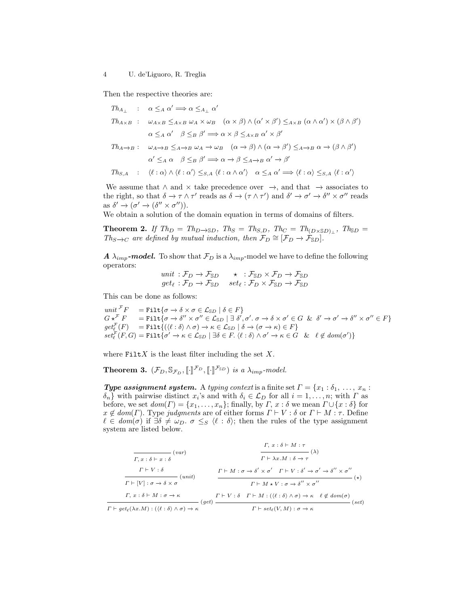Then the respective theories are:

$$
Th_{A_{\perp}} : \alpha \leq_{A} \alpha' \implies \alpha \leq_{A_{\perp}} \alpha'
$$
  
\n
$$
Th_{A \times B} : \omega_{A \times B} \leq_{A \times B} \omega_{A} \times \omega_{B} \quad (\alpha \times \beta) \wedge (\alpha' \times \beta') \leq_{A \times B} (\alpha \wedge \alpha') \times (\beta \wedge \beta')
$$
  
\n
$$
\alpha \leq_{A} \alpha' \quad \beta \leq_{B} \beta' \implies \alpha \times \beta \leq_{A \times B} \alpha' \times \beta'
$$
  
\n
$$
Th_{A \to B} : \omega_{A \to B} \leq_{A \to B} \omega_{A} \to \omega_{B} \quad (\alpha \to \beta) \wedge (\alpha \to \beta') \leq_{A \to B} \alpha \to (\beta \wedge \beta')
$$
  
\n
$$
\alpha' \leq_{A} \alpha \quad \beta \leq_{B} \beta' \implies \alpha \to \beta \leq_{A \to B} \alpha' \to \beta'
$$
  
\n
$$
Th_{S,A} : \langle \ell : \alpha \rangle \wedge \langle \ell : \alpha' \rangle \leq_{S,A} \langle \ell : \alpha \wedge \alpha' \rangle \quad \alpha \leq_{A} \alpha' \implies \langle \ell : \alpha \rangle \leq_{S,A} \langle \ell : \alpha' \rangle
$$

We assume that  $\land$  and  $\times$  take precedence over  $\rightarrow$ , and that  $\rightarrow$  associates to the right, so that  $\delta \to \tau \wedge \tau'$  reads as  $\delta \to (\tau \wedge \tau')$  and  $\delta' \to \sigma' \to \delta'' \times \sigma''$  reads as  $\delta' \to (\sigma' \to (\delta'' \times \sigma'')).$ 

We obtain a solution of the domain equation in terms of domains of filters.

**Theorem 2.** If  $Th_D = Th_{D\to SD}$ ,  $Th_S = Th_{S,D}$ ,  $Th_C = Th_{(D \times SD)_\perp}$ ,  $Th_{SD} =$  $Th_{S\rightarrow C}$  are defined by mutual induction, then  $\mathcal{F}_D \cong [\mathcal{F}_D \rightarrow \mathcal{F}_{SD}]$ .

**A**  $\lambda_{imp}$ -model. To show that  $\mathcal{F}_D$  is a  $\lambda_{imp}$ -model we have to define the following operators:

$$
unit: \mathcal{F}_D \to \mathcal{F}_{SD} \qquad \star \quad : \mathcal{F}_{SD} \times \mathcal{F}_D \to \mathcal{F}_{SD}
$$

$$
get_{\ell}: \mathcal{F}_D \to \mathcal{F}_{SD} \qquad set_{\ell}: \mathcal{F}_D \times \mathcal{F}_{SD} \to \mathcal{F}_{SD}
$$

This can be done as follows:

unit  $\mathcal{F}_F$  = Filt $\{\sigma \to \delta \times \sigma \in \mathcal{L}_{\mathbb{S}D} \mid \delta \in F\}$  $G \star^{\mathcal{F}} F = \texttt{Filt}\{\sigma \to \delta'' \times \sigma'' \in \mathcal{L}_{\mathbb{S}D} \mid \exists \; \delta', \sigma'. \; \sigma \to \delta \times \sigma' \in G \; \; \& \; \; \delta' \to \sigma' \to \delta'' \times \sigma'' \in F\}$  $get_{\ell}^{\mathcal{F}}(F) = \texttt{Filt}\{(\langle \ell : \delta \rangle \land \sigma) \to \kappa \in \mathcal{L}_{\mathbb{S}D} \mid \delta \to (\sigma \to \kappa) \in F\}$  $\mathit{set}^\mathcal{F}_\ell(F,G) = \texttt{Filt}\{\sigma' \to \kappa \in \mathcal{L}_{\mathbb{S} D} \mid \exists \delta \in F\ldotp \langle \ell : \delta \rangle \land \sigma' \to \kappa \in G \quad \& \quad \ell \not\in \mathit{dom}(\sigma')\}$ 

where  $FiltX$  is the least filter including the set X.

**Theorem 3.**  $(\mathcal{F}_D, \mathbb{S}_{\mathcal{F}_D}, [\![\cdot]\!]^{\mathcal{F}_D}, [\![\cdot]\!]^{\mathcal{F}_{SD}})$  is a  $\lambda_{imp}$ -model.

**Type assignment system.** A typing context is a finite set  $\Gamma = \{x_1 : \delta_1, \ldots, x_n :$  $\{\delta_n\}$  with pairwise distinct  $x_i$ 's and with  $\delta_i \in \mathcal{L}_D$  for all  $i = 1, \ldots, n$ ; with  $\Gamma$  as before, we set  $dom(\Gamma) = \{x_1, \ldots, x_n\}$ ; finally, by  $\Gamma$ ,  $x : \delta$  we mean  $\Gamma \cup \{x : \delta\}$  for  $x \notin dom(\Gamma)$ . Type judgments are of either forms  $\Gamma \vdash V : \delta$  or  $\Gamma \vdash M : \tau$ . Define  $\ell \in dom(\sigma)$  if  $\exists \delta \neq \omega_D$ .  $\sigma \leq_S \langle \ell : \delta \rangle$ ; then the rules of the type assignment system are listed below.

$$
\frac{\Gamma, x : \delta \vdash M : \tau}{\Gamma \vdash \chi x : \delta \vdash x : \delta} \quad (var)
$$
\n
$$
\frac{\Gamma \vdash \chi x : \delta \vdash M : \tau}{\Gamma \vdash \chi x : \delta \to \tau} \quad (\lambda)
$$
\n
$$
\frac{\Gamma \vdash V : \delta}{\Gamma \vdash [V] : \sigma \to \delta \times \sigma} \quad (unit)
$$
\n
$$
\frac{\Gamma \vdash M : \sigma \to \delta' \times \sigma' \quad \Gamma \vdash V : \delta' \to \sigma' \to \delta'' \times \sigma''}{\Gamma \vdash M * V : \sigma \to \delta'' \times \sigma''} \quad (\star)
$$
\n
$$
\frac{\Gamma \vdash M * V : \sigma \to \delta'' \times \sigma''}{\Gamma \vdash g \epsilon_{\ell}(\lambda x M) : (\langle \ell : \delta \rangle \land \sigma) \to \kappa} \quad (get)
$$
\n
$$
\frac{\Gamma \vdash V : \delta \quad \Gamma \vdash M : ((\ell : \delta) \land \sigma) \to \kappa \quad \ell \not\in dom(\sigma)}{\Gamma \vdash set_{\ell}(V, M) : \sigma \to \kappa} \quad (set)
$$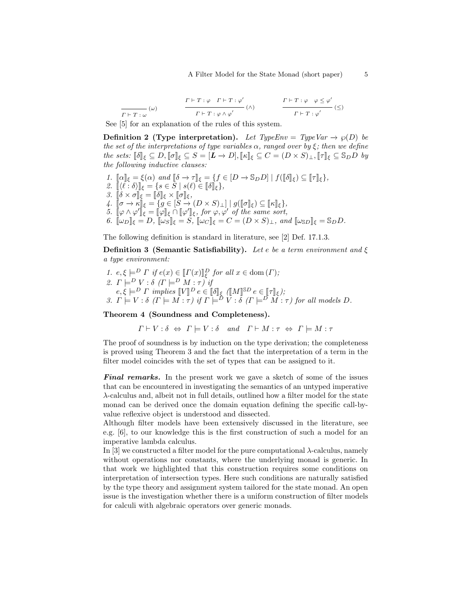$$
\frac{\Gamma \vdash T : \varphi \quad \Gamma \vdash T : \varphi'}{\Gamma \vdash T : \varphi \land \varphi'} \quad (\land) \qquad \qquad \frac{\Gamma \vdash T : \varphi \quad \varphi \leq \varphi'}{\Gamma \vdash T : \varphi'} \quad (\leq)
$$

See [5] for an explanation of the rules of this system.

**Definition 2 (Type interpretation).** Let TypeEnv = TypeVar  $\rightarrow \wp(D)$  be the set of the interpretations of type variables  $\alpha$ , ranged over by  $\xi$ ; then we define the sets:  $\llbracket \delta \rrbracket_{\xi} \subseteq D, \llbracket \sigma \rrbracket_{\xi} \subseteq S = [L \to D], \llbracket \kappa \rrbracket_{\xi} \subseteq C = (D \times S)_{\perp}, \llbracket \tau \rrbracket_{\xi} \subseteq \mathbb{S}_D D$  by the following inductive clauses:

1.  $[\![\alpha]\!]_\xi = \xi(\alpha)$  and  $[\![\delta \to \tau]\!]_\xi = \{f \in [D \to \mathbb{S}_D D] \mid f([\![\delta]\!]_\xi) \subseteq [\![\tau]\!]_\xi\},$ <br>  $\theta = \mathbb{I}(\ell \cdot \delta)\!]_\xi = \{s \in S \mid s(\ell) \in \mathbb{R}\}$ 2.  $[\langle \ell : \delta \rangle]_{\xi} = \{s \in S \mid s(\ell) \in [\![\delta]\!]_{\xi}\},$ <br>
3  $[\![\delta \times \sigma]\!]_s = [\![\delta]\!]_s \times [\![\sigma]\!]_s$ 3.  $\begin{bmatrix} \delta \times \sigma \end{bmatrix}_{\xi} = \begin{bmatrix} \delta \end{bmatrix}_{\xi} \times \begin{bmatrix} \sigma \end{bmatrix}_{\xi},$ <br>  $\begin{bmatrix} \delta \end{bmatrix} = \begin{bmatrix} \delta \end{bmatrix} = \begin{bmatrix} \delta \end{bmatrix} = \begin{bmatrix} \delta \end{bmatrix}$ 4.  $[\![\sigma \to \kappa]\!]_\xi = \{ g \in [S \to (D \times S)_\bot] \mid g([\![\sigma]\!]_\xi) \subseteq [\![\kappa]\!]_\xi \},$ 5.  $\[\varphi \wedge \varphi'\]_{\xi} = \[\varphi\]_{\xi} \cap \[\varphi'\]_{\xi}$ , for  $\varphi, \varphi'$  of the same sort,<br>6.  $\[\psi\]_{\xi} = D$ ,  $\[\psi\]_{\xi} = S$ ,  $\[\psi\]_{\xi} = C = (D \times S)$ , and 6.  $\[\omega_D\]_\xi = D$ ,  $\[\omega_S\]_\xi = S$ ,  $\[\omega_C\]_\xi = C = (D \times S)_\bot$ , and  $\[\omega_{SD}\]_\xi = S_D D$ .

The following definition is standard in literature, see [2] Def. 17.1.3.

**Definition 3 (Semantic Satisfiability).** Let e be a term environment and  $\xi$ a type environment:

1.  $e, \xi \models^D \Gamma$  if  $e(x) \in [\![\Gamma(x)]\!]_p^D$  for all  $x \in \text{dom}(\Gamma)$ ; 2.  $\Gamma \models^D V : \delta \ ( \Gamma \models^D M : \tau ) \dot{y}$  $e, \xi \models^D \Gamma \text{ implies } [V]^D e \in [\![\delta]\!]_{{\xi}} \ ([\![M]\!]^{\text{SD}} e \in [\![\tau]\!]_{{\xi}});$ <br>
3.  $\Gamma \models V : \delta \ (\Gamma \models M : \tau) \text{ if } \Gamma \models^D V : \delta \ (\Gamma \models^D M : \tau) \text{ for all models } D.$ 

Theorem 4 (Soundness and Completeness).

 $\Gamma \vdash V : \delta \Leftrightarrow \Gamma \models V : \delta \quad and \quad \Gamma \vdash M : \tau \Leftrightarrow \Gamma \models M : \tau$ 

The proof of soundness is by induction on the type derivation; the completeness is proved using Theorem 3 and the fact that the interpretation of a term in the filter model coincides with the set of types that can be assigned to it.

**Final remarks.** In the present work we gave a sketch of some of the issues that can be encountered in investigating the semantics of an untyped imperative λ-calculus and, albeit not in full details, outlined how a filter model for the state monad can be derived once the domain equation defining the specific call-byvalue reflexive object is understood and dissected.

Although filter models have been extensively discussed in the literature, see e.g. [6], to our knowledge this is the first construction of such a model for an imperative lambda calculus.

In [3] we constructed a filter model for the pure computational  $\lambda$ -calculus, namely without operations nor constants, where the underlying monad is generic. In that work we highlighted that this construction requires some conditions on interpretation of intersection types. Here such conditions are naturally satisfied by the type theory and assignment system tailored for the state monad. An open issue is the investigation whether there is a uniform construction of filter models for calculi with algebraic operators over generic monads.